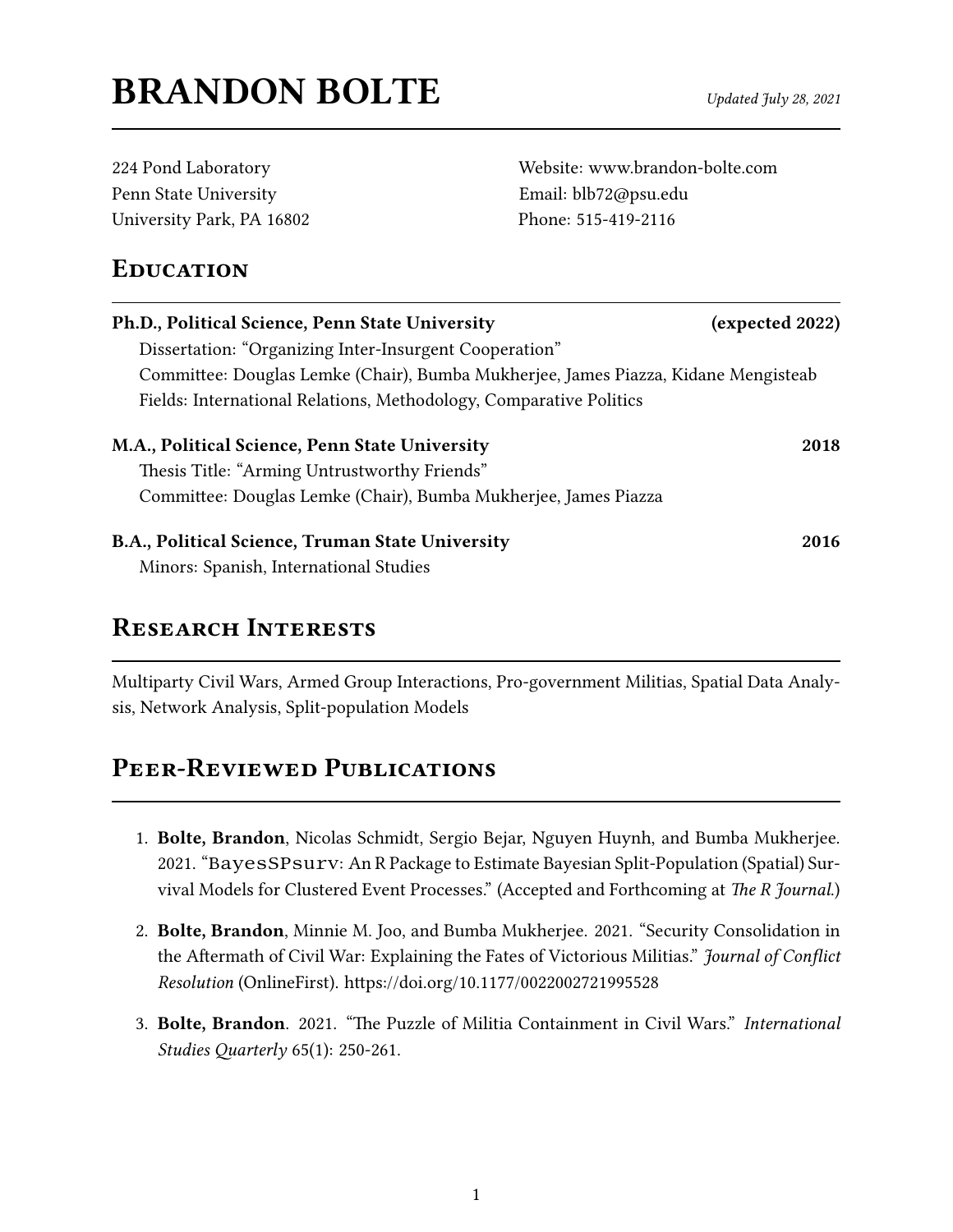# $\mathbf{BRANDON}$   $\mathbf{BOLTE}$  Updated July 28, 2021

| 224 Pond Laboratory       |
|---------------------------|
| Penn State University     |
| University Park, PA 16802 |

Website: <www.brandon-bolte.com> Email: <blb72@psu.edu> Phone: 515-419-2116

### **EDUCATION**

| Ph.D., Political Science, Penn State University                                    | (expected 2022) |
|------------------------------------------------------------------------------------|-----------------|
| Dissertation: "Organizing Inter-Insurgent Cooperation"                             |                 |
| Committee: Douglas Lemke (Chair), Bumba Mukherjee, James Piazza, Kidane Mengisteab |                 |
| Fields: International Relations, Methodology, Comparative Politics                 |                 |
| M.A., Political Science, Penn State University                                     | 2018            |
| Thesis Title: "Arming Untrustworthy Friends"                                       |                 |
| Committee: Douglas Lemke (Chair), Bumba Mukherjee, James Piazza                    |                 |
| B.A., Political Science, Truman State University                                   | 2016            |
| Minors: Spanish, International Studies                                             |                 |

### Research Interests

Multiparty Civil Wars, Armed Group Interactions, Pro-government Militias, Spatial Data Analysis, Network Analysis, Split-population Models

## PEER-REVIEWED PUBLICATIONS

- 1. Bolte, Brandon, Nicolas Schmidt, Sergio Bejar, Nguyen Huynh, and Bumba Mukherjee. 2021. "BayesSPsurv: An R Package to Estimate Bayesian Split-Population (Spatial) Survival Models for Clustered Event Processes." (Accepted and Forthcoming at The R Journal.)
- 2. Bolte, Brandon, Minnie M. Joo, and Bumba Mukherjee. 2021. "Security Consolidation in the Aftermath of Civil War: Explaining the Fates of Victorious Militias." Journal of Conflict Resolution (OnlineFirst). https://doi.org/10.1177/0022002721995528
- 3. Bolte, Brandon. 2021. "The Puzzle of Militia Containment in Civil Wars." International Studies Quarterly  $65(1)$ : 250-261.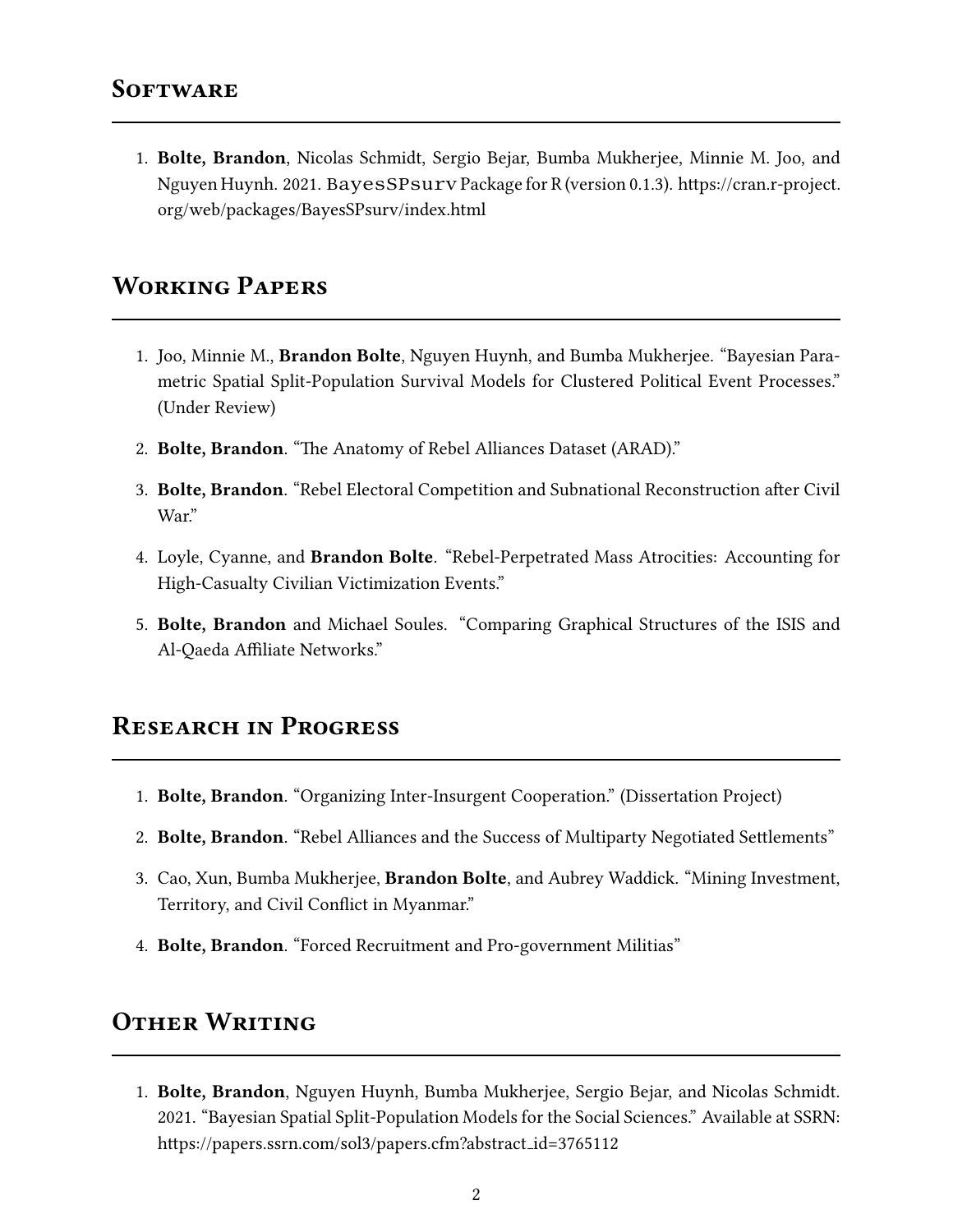1. Bolte, Brandon, Nicolas Schmidt, Sergio Bejar, Bumba Mukherjee, Minnie M. Joo, and Nguyen Huynh. 2021. BayesSPsurv Package for R (version 0.1.3). https://cran.r-project. org/web/packages/BayesSPsurv/index.html

### Working Papers

- 1. Joo, Minnie M., Brandon Bolte, Nguyen Huynh, and Bumba Mukherjee. "Bayesian Parametric Spatial Split-Population Survival Models for Clustered Political Event Processes." (Under Review)
- 2. Bolte, Brandon. "The Anatomy of Rebel Alliances Dataset (ARAD)."
- 3. Bolte, Brandon. "Rebel Electoral Competition and Subnational Reconstruction after Civil War."
- 4. Loyle, Cyanne, and Brandon Bolte. "Rebel-Perpetrated Mass Atrocities: Accounting for High-Casualty Civilian Victimization Events."
- 5. Bolte, Brandon and Michael Soules. "Comparing Graphical Structures of the ISIS and Al-Qaeda Affiliate Networks."

### Research in Progress

- 1. Bolte, Brandon. "Organizing Inter-Insurgent Cooperation." (Dissertation Project)
- 2. Bolte, Brandon. "Rebel Alliances and the Success of Multiparty Negotiated Settlements"
- 3. Cao, Xun, Bumba Mukherjee, Brandon Bolte, and Aubrey Waddick. "Mining Investment, Territory, and Civil Conflict in Myanmar."
- 4. Bolte, Brandon. "Forced Recruitment and Pro-government Militias"

### **OTHER WRITING**

1. Bolte, Brandon, Nguyen Huynh, Bumba Mukherjee, Sergio Bejar, and Nicolas Schmidt. 2021. "Bayesian Spatial Split-Population Models for the Social Sciences." Available at SSRN: https://papers.ssrn.com/sol3/papers.cfm?abstract\_id=3765112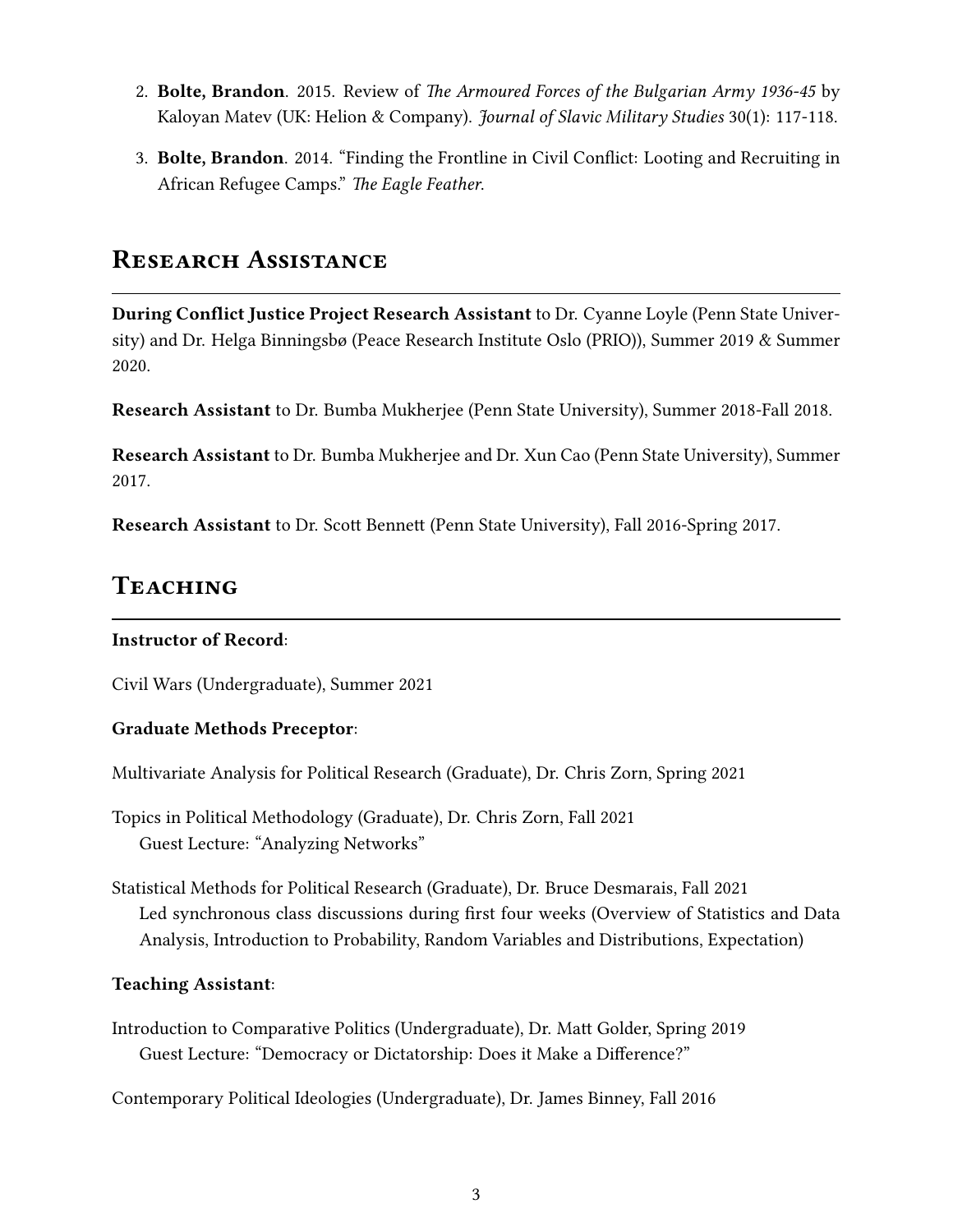- 2. Bolte, Brandon. 2015. Review of The Armoured Forces of the Bulgarian Army 1936-45 by Kaloyan Matev (UK: Helion & Company). Journal of Slavic Military Studies 30(1): 117-118.
- 3. Bolte, Brandon. 2014. "Finding the Frontline in Civil Conflict: Looting and Recruiting in African Refugee Camps." The Eagle Feather.

### RESEARCH ASSISTANCE

During Conflict Justice Project Research Assistant to Dr. Cyanne Loyle (Penn State University) and Dr. Helga Binningsbø (Peace Research Institute Oslo (PRIO)), Summer 2019 & Summer 2020.

Research Assistant to Dr. Bumba Mukherjee (Penn State University), Summer 2018-Fall 2018.

Research Assistant to Dr. Bumba Mukherjee and Dr. Xun Cao (Penn State University), Summer 2017.

Research Assistant to Dr. Scott Bennett (Penn State University), Fall 2016-Spring 2017.

### Teaching

#### Instructor of Record:

Civil Wars (Undergraduate), Summer 2021

#### Graduate Methods Preceptor:

Multivariate Analysis for Political Research (Graduate), Dr. Chris Zorn, Spring 2021

Topics in Political Methodology (Graduate), Dr. Chris Zorn, Fall 2021 Guest Lecture: "Analyzing Networks"

Statistical Methods for Political Research (Graduate), Dr. Bruce Desmarais, Fall 2021 Led synchronous class discussions during first four weeks (Overview of Statistics and Data Analysis, Introduction to Probability, Random Variables and Distributions, Expectation)

#### Teaching Assistant:

Introduction to Comparative Politics (Undergraduate), Dr. Matt Golder, Spring 2019 Guest Lecture: "Democracy or Dictatorship: Does it Make a Difference?"

Contemporary Political Ideologies (Undergraduate), Dr. James Binney, Fall 2016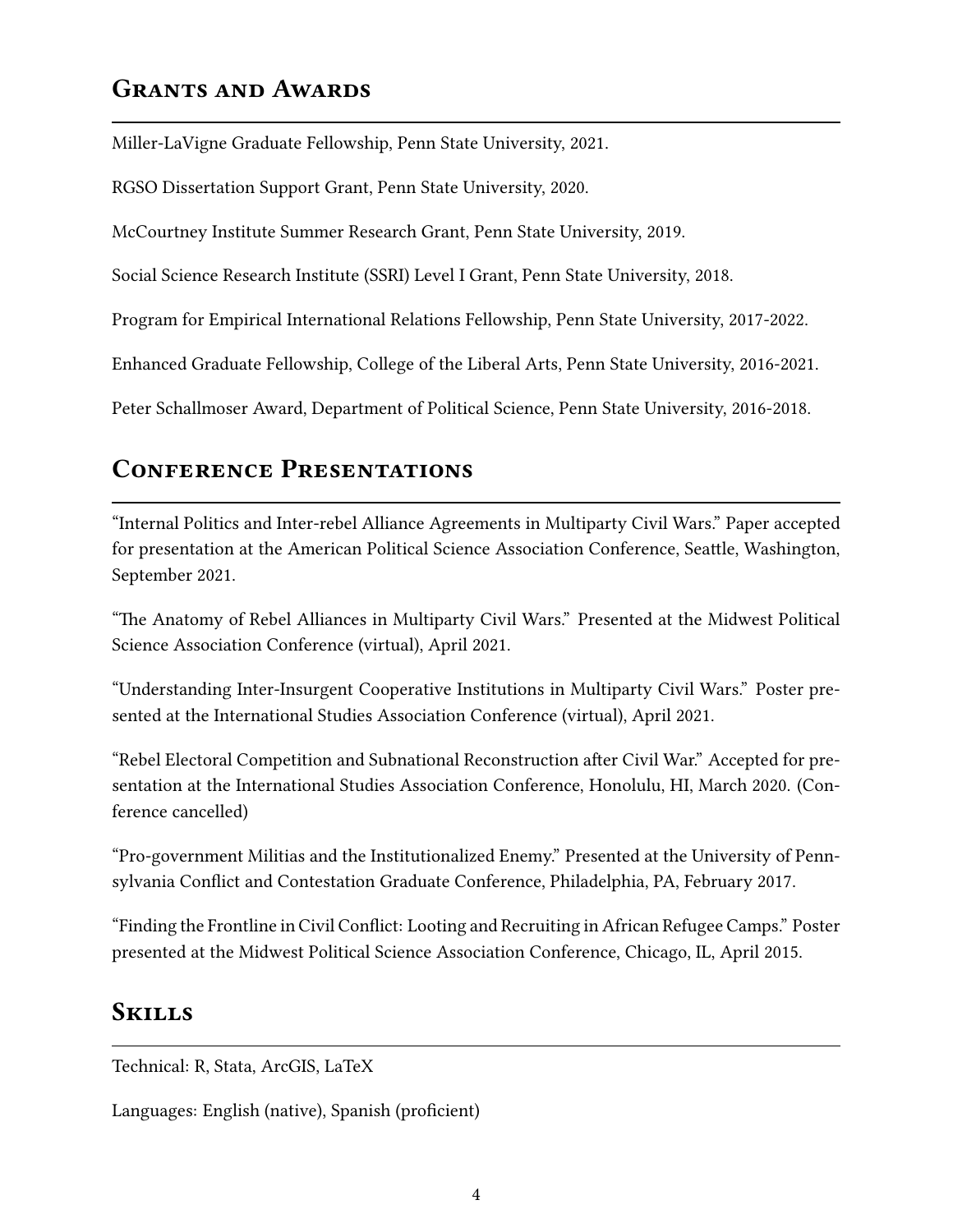### GRANTS AND AWARDS

Miller-LaVigne Graduate Fellowship, Penn State University, 2021.

RGSO Dissertation Support Grant, Penn State University, 2020.

McCourtney Institute Summer Research Grant, Penn State University, 2019.

Social Science Research Institute (SSRI) Level I Grant, Penn State University, 2018.

Program for Empirical International Relations Fellowship, Penn State University, 2017-2022.

Enhanced Graduate Fellowship, College of the Liberal Arts, Penn State University, 2016-2021.

Peter Schallmoser Award, Department of Political Science, Penn State University, 2016-2018.

### CONFERENCE PRESENTATIONS

"Internal Politics and Inter-rebel Alliance Agreements in Multiparty Civil Wars." Paper accepted for presentation at the American Political Science Association Conference, Seattle, Washington, September 2021.

"The Anatomy of Rebel Alliances in Multiparty Civil Wars." Presented at the Midwest Political Science Association Conference (virtual), April 2021.

"Understanding Inter-Insurgent Cooperative Institutions in Multiparty Civil Wars." Poster presented at the International Studies Association Conference (virtual), April 2021.

"Rebel Electoral Competition and Subnational Reconstruction after Civil War." Accepted for presentation at the International Studies Association Conference, Honolulu, HI, March 2020. (Conference cancelled)

"Pro-government Militias and the Institutionalized Enemy." Presented at the University of Pennsylvania Conflict and Contestation Graduate Conference, Philadelphia, PA, February 2017.

"Finding the Frontline in Civil Conflict: Looting and Recruiting in African Refugee Camps." Poster presented at the Midwest Political Science Association Conference, Chicago, IL, April 2015.

### **SKILLS**

Technical: R, Stata, ArcGIS, LaTeX

Languages: English (native), Spanish (proficient)